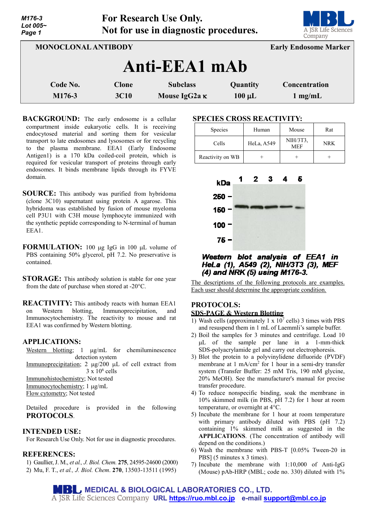| Lot 005~<br>Page 1  |              | $20 - 2200$<br>Not for use in diagnostic procedures. | <b>LUI U</b><br>A JSR Life Sciences<br>Company |                              |
|---------------------|--------------|------------------------------------------------------|------------------------------------------------|------------------------------|
| MONOCLONAL ANTIBODY |              |                                                      |                                                | <b>Early Endosome Marker</b> |
|                     |              | Anti-EEA1 mAb                                        |                                                |                              |
| Code No.            | <b>Clone</b> | <b>Subclass</b>                                      | Quantity                                       | Concentration                |
| M176-3              | <b>3C10</b>  | Mouse IgG2a K                                        | $100 \mu L$                                    | $1 \text{ mg/mL}$            |

**For Research Use Only.**

- **BACKGROUND:** The early endosome is a cellular compartment inside eukaryotic cells. It is receiving endocytosed material and sorting them for vesicular transport to late endosomes and lysosomes or for recycling to the plasma membrane. EEA1 (Early Endosome Antigen1) is a 170 kDa coiled-coil protein, which is required for vesicular transport of proteins through early endosomes. It binds membrane lipids through its FYVE domain.
- **SOURCE:** This antibody was purified from hybridoma (clone 3C10) supernatant using protein A agarose. This hybridoma was established by fusion of mouse myeloma cell P3U1 with C3H mouse lymphocyte immunized with the synthetic peptide corresponding to N-terminal of human ΕΕΑ1.
- **FORMULATION:** 100 µg IgG in 100 µL volume of PBS containing 50% glycerol, pH 7.2. No preservative is contained.
- **STORAGE:** This antibody solution is stable for one year from the date of purchase when stored at -20°C.
- **REACTIVITY:** This antibody reacts with human EEA1 on Western blotting, Immunoprecipitation, and Immunocytochemistry. The reactivity to mouse and rat EEA1 was confirmed by Western blotting.

### **APPLICATIONS:**

*M176-3*

Western blotting; 1  $\mu$ g/mL for chemiluminescence detection system Immunoprecipitation; 2 µg/200 µL of cell extract from  $3 \times 10^6$  cells Immunohistochemistry; Not tested Immunocytochemistry; 1 µg/mL Flow cytometry; Not tested

Detailed procedure is provided in the following **PROTOCOLS**.

### **INTENDED USE:**

For Research Use Only. Not for use in diagnostic procedures.

# **REFERENCES:**

1) Gaullier, J. M., *et al., J. Biol. Chem.* **275**, 24595-24600 (2000) 2) Mu, F. T., *et al., J. Biol. Chem*. **270**, 13503-13511 (1995)

### **SPECIES CROSS REACTIVITY:**

| <b>Species</b>   | Human      | Mouse                  | Rat        |
|------------------|------------|------------------------|------------|
| Cells            | HeLa, A549 | NIH/3T3,<br><b>MEF</b> | <b>NRK</b> |
| Reactivity on WB |            |                        |            |



Western blot analysis of EEA1 in HeLa (1), A549 (2), NIH/3T3 (3), MEF (4) and NRK (5) using M176-3.

The descriptions of the following protocols are examples. Each user should determine the appropriate condition.

# **PROTOCOLS:**

# **SDS-PAGE & Western Blotting**

- 1) Wash cells (approximately  $1 \times 10^7$  cells) 3 times with PBS and resuspend them in 1 mL of Laemmli's sample buffer.
- 2) Boil the samples for 3 minutes and centrifuge. Load 10 µL of the sample per lane in a 1-mm-thick SDS-polyacrylamide gel and carry out electrophoresis.
- 3) Blot the protein to a polyvinylidene difluoride (PVDF) membrane at 1 mA/cm<sup>2</sup> for 1 hour in a semi-dry transfer system (Transfer Buffer: 25 mM Tris, 190 mM glycine, 20% MeOH). See the manufacturer's manual for precise transfer procedure.
- 4) To reduce nonspecific binding, soak the membrane in 10% skimmed milk (in PBS, pH 7.2) for 1 hour at room temperature, or overnight at 4°C.
- 5) Incubate the membrane for 1 hour at room temperature with primary antibody diluted with PBS (pH 7.2) containing 1% skimmed milk as suggested in the **APPLICATIONS**. (The concentration of antibody will depend on the conditions.)
- 6) Wash the membrane with PBS-T [0.05% Tween-20 in PBS] (5 minutes x 3 times).
- 7) Incubate the membrane with 1:10,000 of Anti-IgG (Mouse) pAb-HRP (MBL; code no. 330) diluted with 1%